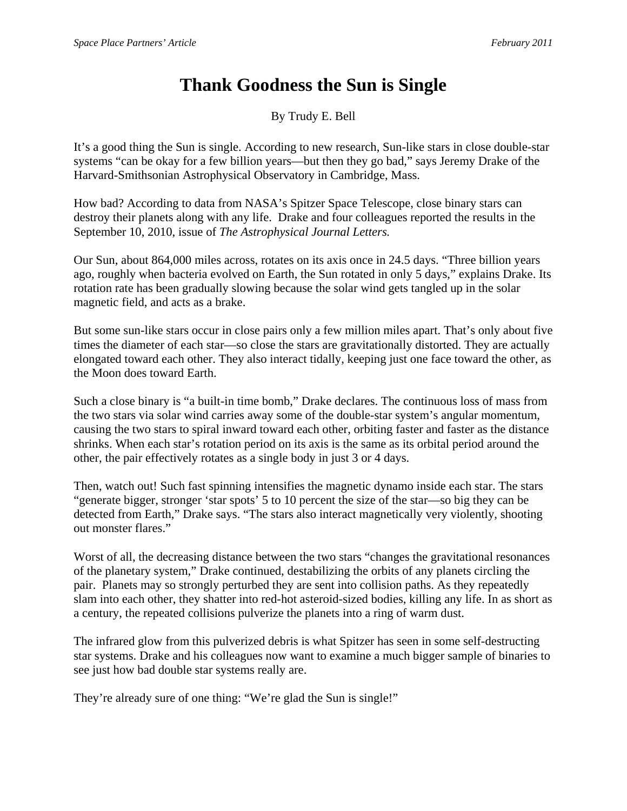## **Thank Goodness the Sun is Single**

By Trudy E. Bell

It's a good thing the Sun is single. According to new research, Sun-like stars in close double-star systems "can be okay for a few billion years—but then they go bad," says Jeremy Drake of the Harvard-Smithsonian Astrophysical Observatory in Cambridge, Mass.

How bad? According to data from NASA's Spitzer Space Telescope, close binary stars can destroy their planets along with any life. Drake and four colleagues reported the results in the September 10, 2010, issue of *The Astrophysical Journal Letters.*

Our Sun, about 864,000 miles across, rotates on its axis once in 24.5 days. "Three billion years ago, roughly when bacteria evolved on Earth, the Sun rotated in only 5 days," explains Drake. Its rotation rate has been gradually slowing because the solar wind gets tangled up in the solar magnetic field, and acts as a brake.

But some sun-like stars occur in close pairs only a few million miles apart. That's only about five times the diameter of each star—so close the stars are gravitationally distorted. They are actually elongated toward each other. They also interact tidally, keeping just one face toward the other, as the Moon does toward Earth.

Such a close binary is "a built-in time bomb," Drake declares. The continuous loss of mass from the two stars via solar wind carries away some of the double-star system's angular momentum, causing the two stars to spiral inward toward each other, orbiting faster and faster as the distance shrinks. When each star's rotation period on its axis is the same as its orbital period around the other, the pair effectively rotates as a single body in just 3 or 4 days.

Then, watch out! Such fast spinning intensifies the magnetic dynamo inside each star. The stars "generate bigger, stronger 'star spots' 5 to 10 percent the size of the star—so big they can be detected from Earth," Drake says. "The stars also interact magnetically very violently, shooting out monster flares."

Worst of all, the decreasing distance between the two stars "changes the gravitational resonances of the planetary system," Drake continued, destabilizing the orbits of any planets circling the pair. Planets may so strongly perturbed they are sent into collision paths. As they repeatedly slam into each other, they shatter into red-hot asteroid-sized bodies, killing any life. In as short as a century, the repeated collisions pulverize the planets into a ring of warm dust.

The infrared glow from this pulverized debris is what Spitzer has seen in some self-destructing star systems. Drake and his colleagues now want to examine a much bigger sample of binaries to see just how bad double star systems really are.

They're already sure of one thing: "We're glad the Sun is single!"